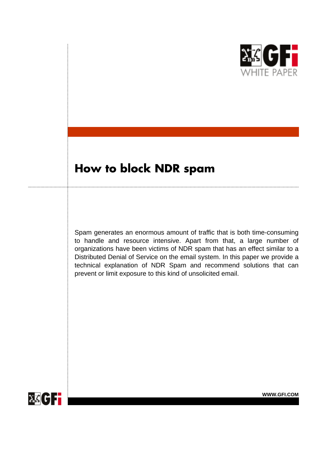

# **How to block NDR spam**

Spam generates an enormous amount of traffic that is both time-consuming to handle and resource intensive. Apart from that, a large number of organizations have been victims of NDR spam that has an effect similar to a Distributed Denial of Service on the email system. In this paper we provide a technical explanation of NDR Spam and recommend solutions that can prevent or limit exposure to this kind of unsolicited email.

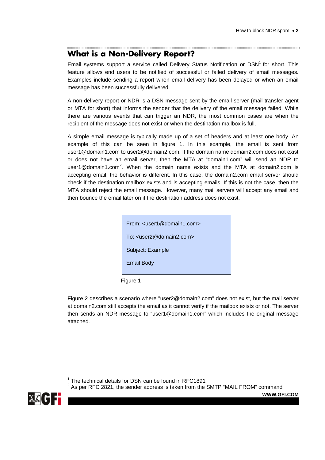#### **What is a Non-Delivery Report?**

Email systems support a service called Delivery Status Notification or DSN<sup>1</sup> for short. This feature allows end users to be notified of successful or failed delivery of email messages. Examples include sending a report when email delivery has been delayed or when an email message has been successfully delivered.

A non-delivery report or NDR is a DSN message sent by the email server (mail transfer agent or MTA for short) that informs the sender that the delivery of the email message failed. While there are various events that can trigger an NDR, the most common cases are when the recipient of the message does not exist or when the destination mailbox is full.

A simple email message is typically made up of a set of headers and at least one body. An example of this can be seen in figure 1. In this example, the email is sent from user1@domain1.com to user2@domain2.com. If the domain name domain2.com does not exist or does not have an email server, then the MTA at "domain1.com" will send an NDR to user1@domain1.com<sup>2</sup>. When the domain name exists and the MTA at domain2.com is accepting email, the behavior is different. In this case, the domain2.com email server should check if the destination mailbox exists and is accepting emails. If this is not the case, then the MTA should reject the email message. However, many mail servers will accept any email and then bounce the email later on if the destination address does not exist.

| From: $\lt$ user1@domain1.com>              |
|---------------------------------------------|
| To: <user2@domain2.com></user2@domain2.com> |
| Subject: Example                            |
| <b>Email Body</b>                           |
|                                             |

Figure 1

Figure 2 describes a scenario where "user2@domain2.com" does not exist, but the mail server at domain2.com still accepts the email as it cannot verify if the mailbox exists or not. The server then sends an NDR message to "user1@domain1.com" which includes the original message attached.

 $1$  The technical details for DSN can be found in RFC1891

 $2$  As per RFC 2821, the sender address is taken from the SMTP "MAIL FROM" command

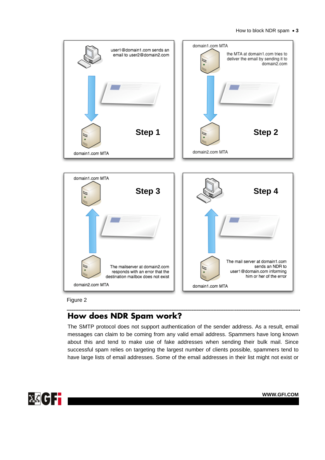#### How to block NDR spam • **3**



Figure 2

..........

### **How does NDR Spam work?**

The SMTP protocol does not support authentication of the sender address. As a result, email messages can claim to be coming from any valid email address. Spammers have long known about this and tend to make use of fake addresses when sending their bulk mail. Since successful spam relies on targeting the largest number of clients possible, spammers tend to have large lists of email addresses. Some of the email addresses in their list might not exist or

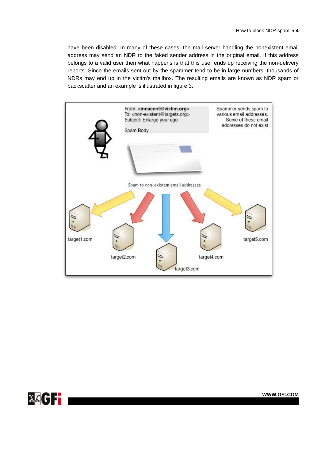have been disabled. In many of these cases, the mail server handling the nonexistent email address may send an NDR to the faked sender address in the original email. If this address belongs to a valid user then what happens is that this user ends up receiving the non-delivery reports. Since the emails sent out by the spammer tend to be in large numbers, thousands of NDRs may end up in the victim's mailbox. The resulting emails are known as NDR spam or backscatter and an example is illustrated in figure 3.



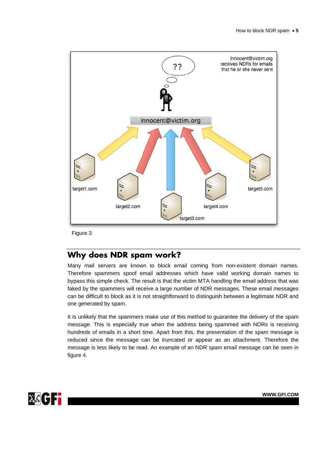

Figure 3

### **Why does NDR spam work?**

Many mail servers are known to block email coming from non-existent domain names. Therefore spammers spoof email addresses which have valid working domain names to bypass this simple check. The result is that the victim MTA handling the email address that was faked by the spammers will receive a large number of NDR messages. These email messages can be difficult to block as it is not straightforward to distinguish between a legitimate NDR and one generated by spam.

It is unlikely that the spammers make use of this method to guarantee the delivery of the spam message. This is especially true when the address being spammed with NDRs is receiving hundreds of emails in a short time. Apart from this, the presentation of the spam message is reduced since the message can be truncated or appear as an attachment. Therefore the message is less likely to be read. An example of an NDR spam email message can be seen in figure 4.

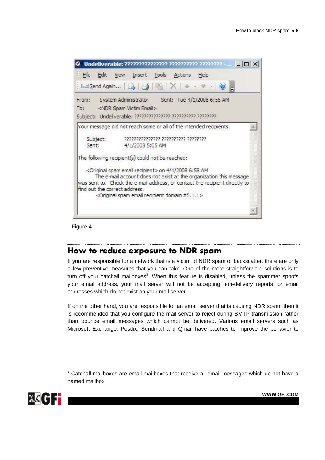|                               | Undeliverable: ??????????????? ????????? ???????? -                                                                                                                                                                                                                                                        |
|-------------------------------|------------------------------------------------------------------------------------------------------------------------------------------------------------------------------------------------------------------------------------------------------------------------------------------------------------|
| File<br>Edit                  | View Insert Tools Actions<br>Help                                                                                                                                                                                                                                                                          |
|                               | El Send Again   2   3   2   X   4 + 9                                                                                                                                                                                                                                                                      |
| From:<br>To:                  | Sent: Tue 4/1/2008 6:55 AM<br>System Administrator<br><ndr email="" spam="" victim=""><br/>Subject: Undeliverable: ??????????????? ????????? ?????????</ndr>                                                                                                                                               |
|                               | Your message did not reach some or all of the intended recipients.                                                                                                                                                                                                                                         |
| Subject:<br>Sent:             | ,,,,,,,,,,,,,,,,,,,,,,,,,,,,,,,,,,,,<br>4/1/2008 5:05 AM                                                                                                                                                                                                                                                   |
|                               | The following recipient(s) could not be reached:                                                                                                                                                                                                                                                           |
| find out the correct address. | <original email="" recipient="" spam=""> on 4/1/2008 6:58 AM<br/>The e-mail account does not exist at the organization this message<br/>was sent to. Check the e-mail address, or contact the recipient directly to<br/><original #5.1.1="" domain="" email="" recipient="" spam=""></original></original> |
|                               |                                                                                                                                                                                                                                                                                                            |

Figure 4

### **How to reduce exposure to NDR spam**

If you are responsible for a network that is a victim of NDR spam or backscatter, there are only a few preventive measures that you can take. One of the more straightforward solutions is to turn off your catchall mailboxes<sup>3</sup>. When this feature is disabled, unless the spammer spoofs your email address, your mail server will not be accepting non-delivery reports for email addresses which do not exist on your mail server.

If on the other hand, you are responsible for an email server that is causing NDR spam, then it is recommended that you configure the mail server to reject during SMTP transmission rather than bounce email messages which cannot be delivered. Various email servers such as Microsoft Exchange, Postfix, Sendmail and Qmail have patches to improve the behavior to

 $3$  Catchall mailboxes are email mailboxes that receive all email messages which do not have a named mailbox

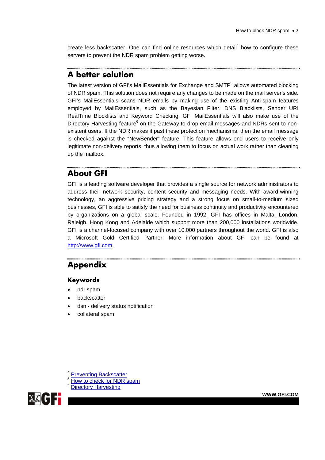create less backscatter. One can find online resources which detail $4$  how to configure these servers to prevent the NDR spam problem getting worse.

### **A better solution**

The latest version of GFI's MailEssentials for Exchange and SMTP<sup>5</sup> allows automated blocking of NDR spam. This solution does not require any changes to be made on the mail server's side. GFI's MailEssentials scans NDR emails by making use of the existing Anti-spam features employed by MailEssentials, such as the Bayesian Filter, DNS Blacklists, Sender URI RealTime Blocklists and Keyword Checking. GFI MailEssentials will also make use of the Directory Harvesting feature<sup>6</sup> on the Gateway to drop email messages and NDRs sent to nonexistent users. If the NDR makes it past these protection mechanisms, then the email message is checked against the "NewSender" feature. This feature allows end users to receive only legitimate non-delivery reports, thus allowing them to focus on actual work rather than cleaning up the mailbox.

#### **About GFI**

GFI is a leading software developer that provides a single source for network administrators to address their network security, content security and messaging needs. With award-winning technology, an aggressive pricing strategy and a strong focus on small-to-medium sized businesses, GFI is able to satisfy the need for business continuity and productivity encountered by organizations on a global scale. Founded in 1992, GFI has offices in Malta, London, Raleigh, Hong Kong and Adelaide which support more than 200,000 installations worldwide. GFI is a channel-focused company with over 10,000 partners throughout the world. GFI is also a Microsoft Gold Certified Partner. More information about GFI can be found at http://www.gfi.com.

## **Appendix**

#### **Keywords**

- ndr spam
- **backscatter**
- dsn delivery status notification
- collateral spam

<sup>4</sup> Preventing Backscatter

- 5 How to check for NDR spam
- <sup>6</sup> Directory Harvesting